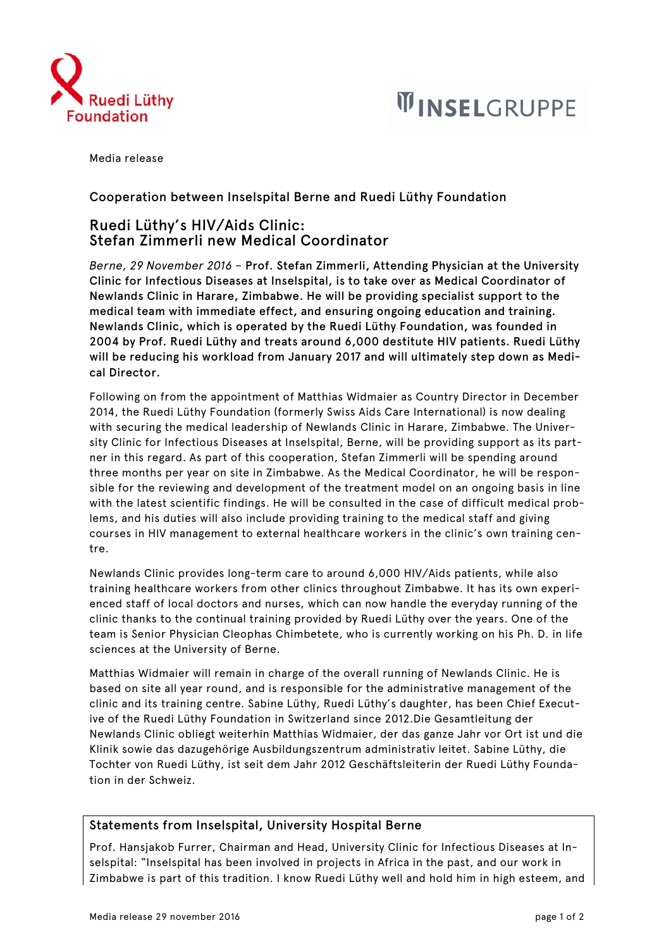



Media release

## Cooperation between Inselspital Berne and Ruedi Lüthy Foundation

## Ruedi Lüthy's HIV/Aids Clinic: Stefan Zimmerli new Medical Coordinator

*Berne, 29 November 2016 –* Prof. Stefan Zimmerli, Attending Physician at the University Clinic for Infectious Diseases at Inselspital, is to take over as Medical Coordinator of Newlands Clinic in Harare, Zimbabwe. He will be providing specialist support to the medical team with immediate effect, and ensuring ongoing education and training. Newlands Clinic, which is operated by the Ruedi Lüthy Foundation, was founded in 2004 by Prof. Ruedi Lüthy and treats around 6,000 destitute HIV patients. Ruedi Lüthy will be reducing his workload from January 2017 and will ultimately step down as Medical Director.

Following on from the appointment of Matthias Widmaier as Country Director in December 2014, the Ruedi Lüthy Foundation (formerly Swiss Aids Care International) is now dealing with securing the medical leadership of Newlands Clinic in Harare, Zimbabwe. The University Clinic for Infectious Diseases at Inselspital, Berne, will be providing support as its partner in this regard. As part of this cooperation, Stefan Zimmerli will be spending around three months per year on site in Zimbabwe. As the Medical Coordinator, he will be responsible for the reviewing and development of the treatment model on an ongoing basis in line with the latest scientific findings. He will be consulted in the case of difficult medical problems, and his duties will also include providing training to the medical staff and giving courses in HIV management to external healthcare workers in the clinic's own training centre.

Newlands Clinic provides long-term care to around 6,000 HIV/Aids patients, while also training healthcare workers from other clinics throughout Zimbabwe. It has its own experienced staff of local doctors and nurses, which can now handle the everyday running of the clinic thanks to the continual training provided by Ruedi Lüthy over the years. One of the team is Senior Physician Cleophas Chimbetete, who is currently working on his Ph. D. in life sciences at the University of Berne.

Matthias Widmaier will remain in charge of the overall running of Newlands Clinic. He is based on site all year round, and is responsible for the administrative management of the clinic and its training centre. Sabine Lüthy, Ruedi Lüthy's daughter, has been Chief Executive of the Ruedi Lüthy Foundation in Switzerland since 2012.Die Gesamtleitung der Newlands Clinic obliegt weiterhin Matthias Widmaier, der das ganze Jahr vor Ort ist und die Klinik sowie das dazugehörige Ausbildungszentrum administrativ leitet. Sabine Lüthy, die Tochter von Ruedi Lüthy, ist seit dem Jahr 2012 Geschäftsleiterin der Ruedi Lüthy Foundation in der Schweiz.

## Statements from Inselspital, University Hospital Berne

Prof. Hansjakob Furrer, Chairman and Head, University Clinic for Infectious Diseases at Inselspital: "Inselspital has been involved in projects in Africa in the past, and our work in Zimbabwe is part of this tradition. I know Ruedi Lüthy well and hold him in high esteem, and